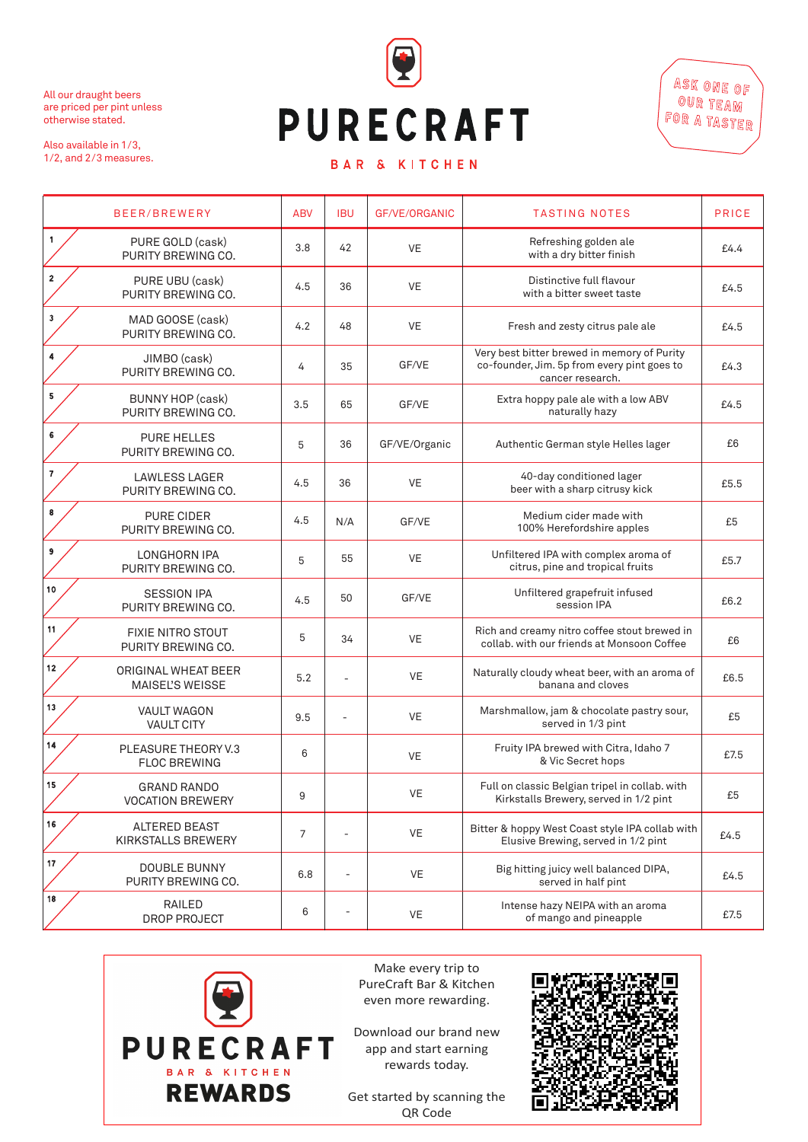

## **PURECRAFT**

All our draught beers are priced per pint unless

otherwise stated.

ASK ONE OF OUR TEAM For a taster

## BAR & KITCHEN

Also available in 1/3, 1/2, and 2/3 measures.

> Make every trip to PureCraft Bar & Kitchen even more rewarding.

Download our brand new app and start earning rewards today.

Get started by scanning the QR Code



|                         | BEER/BREWERY                                         | <b>ABV</b>     | <b>IBU</b> | GF/VE/ORGANIC | <b>TASTING NOTES</b>                                                                                           | <b>PRICE</b> |
|-------------------------|------------------------------------------------------|----------------|------------|---------------|----------------------------------------------------------------------------------------------------------------|--------------|
| $\mathbf{1}$            | PURE GOLD (cask)<br>PURITY BREWING CO.               | 3.8            | 42         | <b>VE</b>     | Refreshing golden ale<br>with a dry bitter finish                                                              | £4.4         |
| $\overline{2}$          | PURE UBU (cask)<br>PURITY BREWING CO.                | 4.5            | 36         | <b>VE</b>     | Distinctive full flavour<br>with a bitter sweet taste                                                          | £4.5         |
| $\mathbf{3}$            | MAD GOOSE (cask)<br>PURITY BREWING CO.               | 4.2            | 48         | <b>VE</b>     | Fresh and zesty citrus pale ale                                                                                | £4.5         |
| 4                       | JIMBO (cask)<br>PURITY BREWING CO.                   | 4              | 35         | GF/VE         | Very best bitter brewed in memory of Purity<br>co-founder, Jim. 5p from every pint goes to<br>cancer research. | £4.3         |
| 5                       | <b>BUNNY HOP (cask)</b><br>PURITY BREWING CO.        | 3.5            | 65         | GF/VE         | Extra hoppy pale ale with a low ABV<br>naturally hazy                                                          | £4.5         |
| 6                       | <b>PURE HELLES</b><br>PURITY BREWING CO.             | 5              | 36         | GF/VE/Organic | Authentic German style Helles lager                                                                            | £6           |
| $\overline{\mathbf{r}}$ | <b>LAWLESS LAGER</b><br>PURITY BREWING CO.           | 4.5            | 36         | <b>VE</b>     | 40-day conditioned lager<br>beer with a sharp citrusy kick                                                     | £5.5         |
| 8                       | <b>PURE CIDER</b><br>PURITY BREWING CO.              | 4.5            | N/A        | GF/VE         | Medium cider made with<br>100% Herefordshire apples                                                            | £5           |
| 9                       | <b>LONGHORN IPA</b><br>PURITY BREWING CO.            | 5              | 55         | <b>VE</b>     | Unfiltered IPA with complex aroma of<br>citrus, pine and tropical fruits                                       | £5.7         |
| 10 <sub>1</sub>         | <b>SESSION IPA</b><br>PURITY BREWING CO.             | 4.5            | 50         | GF/VE         | Unfiltered grapefruit infused<br>session IPA                                                                   | £6.2         |
| 11                      | <b>FIXIE NITRO STOUT</b><br>PURITY BREWING CO.       | 5              | 34         | <b>VE</b>     | Rich and creamy nitro coffee stout brewed in<br>collab, with our friends at Monsoon Coffee                     | £6           |
| 12                      | <b>ORIGINAL WHEAT BEER</b><br><b>MAISEL'S WEISSE</b> | 5.2            |            | <b>VE</b>     | Naturally cloudy wheat beer, with an aroma of<br>banana and cloves                                             | £6.5         |
| 13                      | <b>VAULT WAGON</b><br><b>VAULT CITY</b>              | 9.5            |            | <b>VE</b>     | Marshmallow, jam & chocolate pastry sour,<br>served in 1/3 pint                                                | £5           |
| 14                      | PLEASURE THEORY V.3<br><b>FLOC BREWING</b>           | 6              |            | <b>VE</b>     | Fruity IPA brewed with Citra, Idaho 7<br>& Vic Secret hops                                                     | £7.5         |
| 15                      | <b>GRAND RANDO</b><br><b>VOCATION BREWERY</b>        | 9              |            | <b>VE</b>     | Full on classic Belgian tripel in collab. with<br>Kirkstalls Brewery, served in 1/2 pint                       | £5           |
| 16                      | <b>ALTERED BEAST</b><br><b>KIRKSTALLS BREWERY</b>    | $\overline{7}$ |            | <b>VE</b>     | Bitter & hoppy West Coast style IPA collab with<br>Elusive Brewing, served in 1/2 pint                         | £4.5         |
|                         |                                                      |                |            |               |                                                                                                                |              |

|    | <b>DOUBLE BUNNY</b><br>PURITY BREWING CO. | 6.8 | $\overline{\phantom{a}}$ | VE | Big hitting juicy well balanced DIPA,<br>served in half pint | £4.5 |
|----|-------------------------------------------|-----|--------------------------|----|--------------------------------------------------------------|------|
| 18 | RAILED<br>DROP PROJECT                    |     | $\overline{\phantom{a}}$ | VE | Intense hazy NEIPA with an aroma<br>of mango and pineapple   | £7.5 |